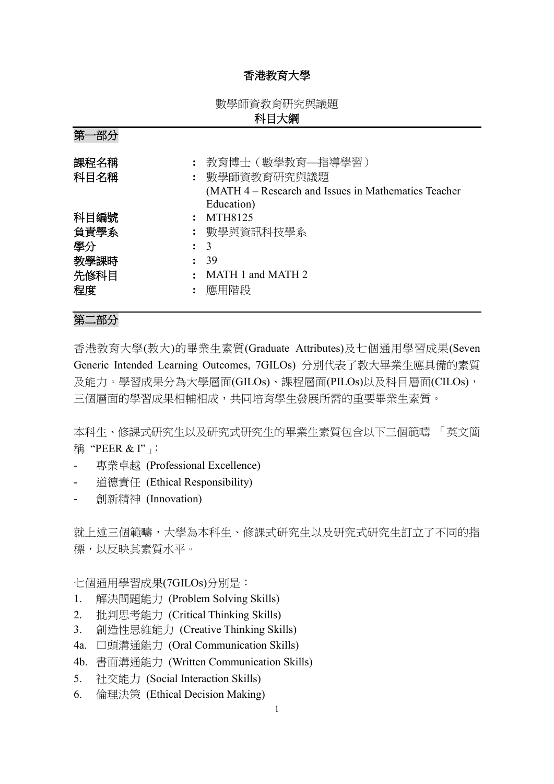## 香港教育大學

數學師資教育研究與議題

# 科目大綱

| 第<br>·部分                   |                                                                    |
|----------------------------|--------------------------------------------------------------------|
| 課程名稱<br>科目名稱               | 教育博士 (數學教育—指導學習)<br>: 數學師資教育研究與議題                                  |
|                            | (MATH 4 – Research and Issues in Mathematics Teacher<br>Education) |
| 科目編號                       | MTH8125                                                            |
| 負責學系                       | : 數學與資訊科技學系                                                        |
| 學分<br>$\ddot{\phantom{a}}$ | $\overline{3}$                                                     |
| 教學課時                       | 39                                                                 |
| 先修科目                       | MATH 1 and MATH 2                                                  |
| 程度                         | 應用階段                                                               |

## 第二部分

香港教育大學(教大)的畢業生素質(Graduate Attributes)及七個通用學習成果(Seven Generic Intended Learning Outcomes, 7GILOs) 分別代表了教大畢業生應具備的素質 及能力。學習成果分為大學層面(GILOs)、課程層面(PILOs)以及科目層面(CILOs), 三個層面的學習成果相輔相成,共同培育學生發展所需的重要畢業生素質。

本科生、修課式研究生以及研究式研究生的畢業生素質包含以下三個範疇 「英文簡 稱 "PEER & I"」

- 專業卓越 (Professional Excellence)
- 道德責任 (Ethical Responsibility)
- 創新精神 (Innovation)

就上述三個範疇,大學為本科生、修課式研究生以及研究式研究生訂立了不同的指 標,以反映其素質水平。

七個通用學習成果(7GILOs)分別是:

- 1. 解決問題能力 (Problem Solving Skills)
- 2. 批判思考能力 (Critical Thinking Skills)
- 3. 創造性思維能力 (Creative Thinking Skills)
- 4a. 口頭溝通能力 (Oral Communication Skills)
- 4b. 書面溝通能力 (Written Communication Skills)
- 5. 社交能力 (Social Interaction Skills)
- 6. 倫理決策 (Ethical Decision Making)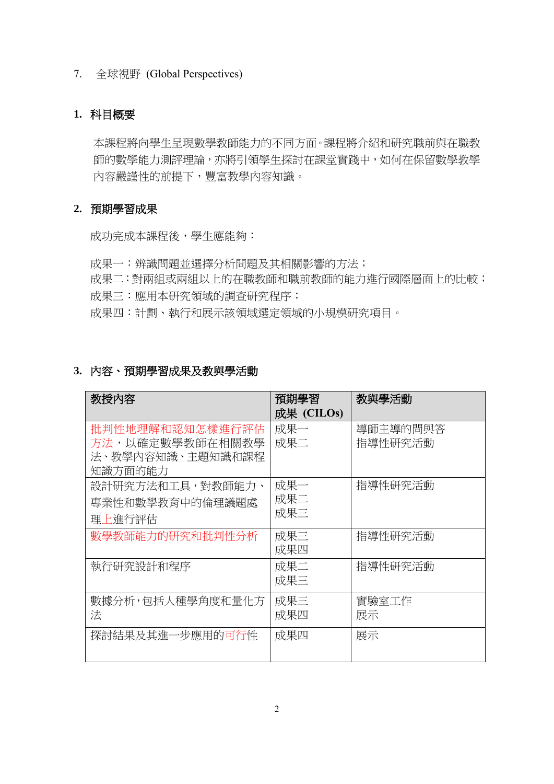### 7. 全球視野 (Global Perspectives)

# **1.** 科目概要

本課程將向學生呈現數學教師能力的不同方面。課程將介紹和研究職前與在職教 師的數學能力測評理論,亦將引領學生探討在課堂實踐中,如何在保留數學教學 內容嚴謹性的前提下,豐富教學內容知識。

## **2.** 預期學習成果

成功完成本課程後,學生應能夠:

成果一:辨識問題並選擇分析問題及其相關影響的方法; 成果二:對兩組或兩組以上的在職教師和職前教師的能力進行國際層面上的比較; 成果三:應用本研究領域的調查研究程序; 成果四:計劃、執行和展示該領域選定領域的小規模研究項目。

| 3. 内容、預期學習成果及教與學活動 |  |
|--------------------|--|
|                    |  |

| 教授内容             | 預期學習       | 教與學活動    |
|------------------|------------|----------|
|                  | 成果 (CILOs) |          |
| 批判性地理解和認知怎樣進行評估  | 成果一        | 導師主導的問與答 |
| 方法,以確定數學教師在相關教學  | 成果二        | 指導性研究活動  |
| 法、教學内容知識、主題知識和課程 |            |          |
| 知識方面的能力          |            |          |
| 設計研究方法和工具,對教師能力、 | 成果一        | 指導性研究活動  |
| 專業性和數學教育中的倫理議題處  | 成果二        |          |
| 理上進行評估           | 成果三        |          |
| 數學教師能力的研究和批判性分析  | 成果三        | 指導性研究活動  |
|                  | 成果四        |          |
| 執行研究設計和程序        | 成果二        | 指導性研究活動  |
|                  | 成果三        |          |
| 數據分析,包括人種學角度和量化方 | 成果三        | 實驗室工作    |
| 法                | 成果四        | 展示       |
| 探討結果及其進一步應用的可行性  | 成果四        | 展示       |
|                  |            |          |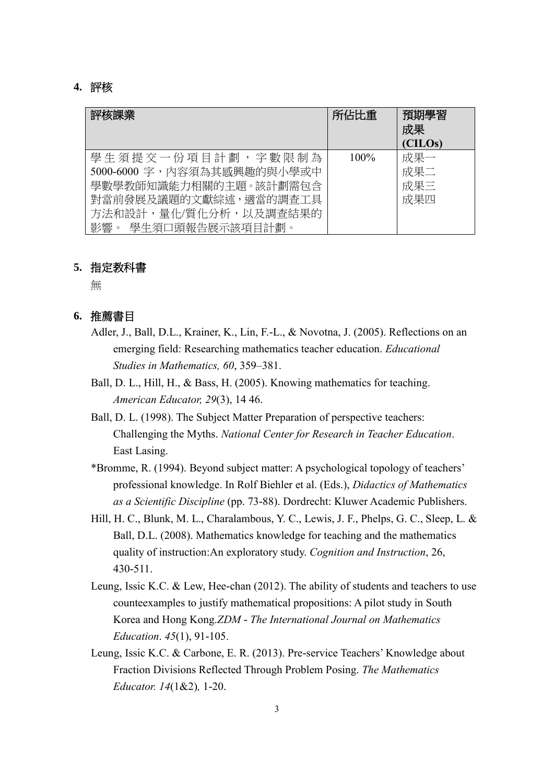#### **4.** 評核

| 評核課業                                                                                                                                              | 所佔比重    | 預期學習<br>成果<br>(CILOs)    |
|---------------------------------------------------------------------------------------------------------------------------------------------------|---------|--------------------------|
| 學生須提交一份項目計劃,字數限制為<br>5000-6000 字,內容須為其感興趣的與小學或中<br>學數學教師知識能力相關的主題。該計劃需包含<br>對當前發展及議題的文獻綜述,適當的調查工具<br>方法和設計,量化/質化分析,以及調查結果的<br>影響。 學牛須口頭報告展示該項目計劃。 | $100\%$ | 成果一<br>成果二<br>成果三<br>成果四 |

### **5.** 指定教科書

無

## **6.** 推薦書目

- Adler, J., Ball, D.L., Krainer, K., Lin, F.-L., & Novotna, J. (2005). Reflections on an emerging field: Researching mathematics teacher education. *Educational Studies in Mathematics, 60*, 359–381.
- Ball, D. L., Hill, H., & Bass, H. (2005). Knowing mathematics for teaching. *American Educator, 29*(3), 14 46.
- Ball, D. L. (1998). The Subject Matter Preparation of perspective teachers: Challenging the Myths. *National Center for Research in Teacher Education*. East Lasing.
- \*Bromme, R. (1994). Beyond subject matter: A psychological topology of teachers' professional knowledge. In Rolf Biehler et al. (Eds.), *Didactics of Mathematics as a Scientific Discipline* (pp. 73-88). Dordrecht: Kluwer Academic Publishers.
- Hill, H. C., Blunk, M. L., Charalambous, Y. C., Lewis, J. F., Phelps, G. C., Sleep, L. & Ball, D.L. (2008). Mathematics knowledge for teaching and the mathematics quality of instruction:An exploratory study. *Cognition and Instruction*, 26, 430-511.
- Leung, Issic K.C. & Lew, Hee-chan (2012). The ability of students and teachers to use counteexamples to justify mathematical propositions: A pilot study in South Korea and Hong Kong.*ZDM - The International Journal on Mathematics Education*. *45*(1), 91-105.
- Leung, Issic K.C. & Carbone, E. R. (2013). Pre-service Teachers' Knowledge about Fraction Divisions Reflected Through Problem Posing. *The Mathematics Educator. 14*(1&2)*,* 1-20.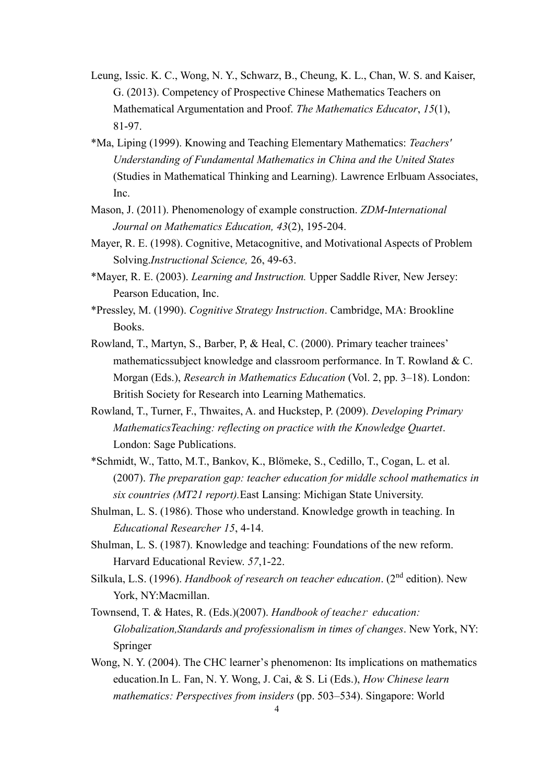- Leung, Issic. K. C., Wong, N. Y., Schwarz, B., Cheung, K. L., Chan, W. S. and Kaiser, G. (2013). Competency of Prospective Chinese Mathematics Teachers on Mathematical Argumentation and Proof. *The Mathematics Educator*, *15*(1), 81-97.
- \*Ma, Liping (1999). Knowing and Teaching Elementary Mathematics: *Teachers' Understanding of Fundamental Mathematics in China and the United States*  (Studies in Mathematical Thinking and Learning). Lawrence Erlbuam Associates, Inc.
- Mason, J. (2011). Phenomenology of example construction. *ZDM-International Journal on Mathematics Education, 43*(2), 195-204.
- Mayer, R. E. (1998). Cognitive, Metacognitive, and Motivational Aspects of Problem Solving.*Instructional Science,* 26, 49-63.
- \*Mayer, R. E. (2003). *Learning and Instruction.* Upper Saddle River, New Jersey: Pearson Education, Inc.
- \*Pressley, M. (1990). *Cognitive Strategy Instruction*. Cambridge, MA: Brookline Books.
- Rowland, T., Martyn, S., Barber, P, & Heal, C. (2000). Primary teacher trainees' mathematicssubject knowledge and classroom performance. In T. Rowland & C. Morgan (Eds.), *Research in Mathematics Education* (Vol. 2, pp. 3–18). London: British Society for Research into Learning Mathematics.
- Rowland, T., Turner, F., Thwaites, A. and Huckstep, P. (2009). *Developing Primary MathematicsTeaching: reflecting on practice with the Knowledge Quartet*. London: Sage Publications.
- \*Schmidt, W., Tatto, M.T., Bankov, K., Blömeke, S., Cedillo, T., Cogan, L. et al. (2007). *The preparation gap: teacher education for middle school mathematics in six countries (MT21 report).*East Lansing: Michigan State University.
- Shulman, L. S. (1986). Those who understand. Knowledge growth in teaching. In *Educational Researcher 15*, 4-14.
- Shulman, L. S. (1987). Knowledge and teaching: Foundations of the new reform. Harvard Educational Review. *57*,1-22.
- Silkula, L.S. (1996). *Handbook of research on teacher education*. (2nd edition). New York, NY:Macmillan.
- Townsend, T. & Hates, R. (Eds.)(2007). *Handbook of teache*<sup>r</sup> *education: Globalization,Standards and professionalism in times of changes*. New York, NY: Springer
- Wong, N. Y. (2004). The CHC learner's phenomenon: Its implications on mathematics education.In L. Fan, N. Y. Wong, J. Cai, & S. Li (Eds.), *How Chinese learn mathematics: Perspectives from insiders* (pp. 503–534). Singapore: World